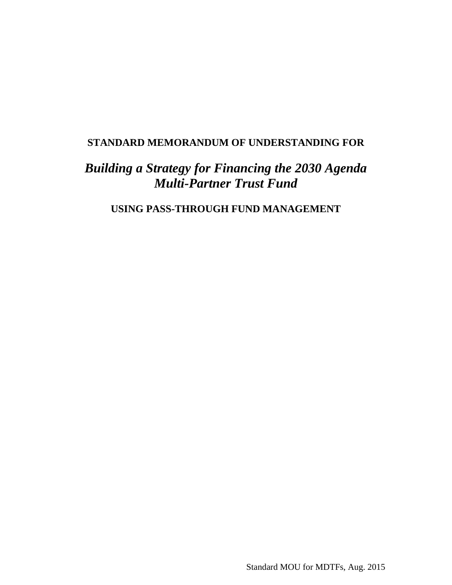## **STANDARD MEMORANDUM OF UNDERSTANDING FOR**

# *Building a Strategy for Financing the 2030 Agenda Multi-Partner Trust Fund*

**USING PASS-THROUGH FUND MANAGEMENT**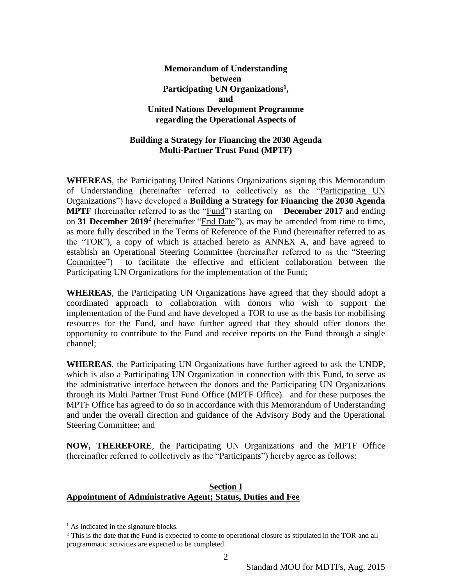## **Memorandum of Understanding between** Participating UN Organizations<sup>1</sup>, **and United Nations Development Programme regarding the Operational Aspects of**

#### **Building a Strategy for Financing the 2030 Agenda Multi-Partner Trust Fund (MPTF)**

**WHEREAS**, the Participating United Nations Organizations signing this Memorandum of Understanding (hereinafter referred to collectively as the "Participating UN Organizations") have developed a **Building a Strategy for Financing the 2030 Agenda MPTF** (hereinafter referred to as the "Fund") starting on **December 2017** and ending on **31 December 2019**<sup>2</sup> (hereinafter "End Date"), as may be amended from time to time, as more fully described in the Terms of Reference of the Fund (hereinafter referred to as the "TOR"), a copy of which is attached hereto as ANNEX A, and have agreed to establish an Operational Steering Committee (hereinafter referred to as the "Steering Committee") to facilitate the effective and efficient collaboration between the Participating UN Organizations for the implementation of the Fund;

**WHEREAS**, the Participating UN Organizations have agreed that they should adopt a coordinated approach to collaboration with donors who wish to support the implementation of the Fund and have developed a TOR to use as the basis for mobilising resources for the Fund, and have further agreed that they should offer donors the opportunity to contribute to the Fund and receive reports on the Fund through a single channel;

**WHEREAS**, the Participating UN Organizations have further agreed to ask the UNDP, which is also a Participating UN Organization in connection with this Fund, to serve as the administrative interface between the donors and the Participating UN Organizations through its Multi Partner Trust Fund Office (MPTF Office). and for these purposes the MPTF Office has agreed to do so in accordance with this Memorandum of Understanding and under the overall direction and guidance of the Advisory Body and the Operational Steering Committee; and

**NOW, THEREFORE**, the Participating UN Organizations and the MPTF Office (hereinafter referred to collectively as the "Participants") hereby agree as follows:

#### **Section I Appointment of Administrative Agent; Status, Duties and Fee**

 $\overline{a}$ 

<sup>&</sup>lt;sup>1</sup> As indicated in the signature blocks.

<sup>2</sup> This is the date that the Fund is expected to come to operational closure as stipulated in the TOR and all programmatic activities are expected to be completed.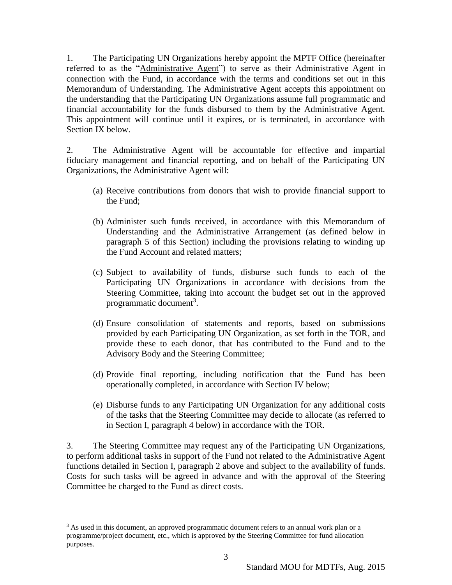1. The Participating UN Organizations hereby appoint the MPTF Office (hereinafter referred to as the "Administrative Agent") to serve as their Administrative Agent in connection with the Fund, in accordance with the terms and conditions set out in this Memorandum of Understanding. The Administrative Agent accepts this appointment on the understanding that the Participating UN Organizations assume full programmatic and financial accountability for the funds disbursed to them by the Administrative Agent. This appointment will continue until it expires, or is terminated, in accordance with Section IX below.

2. The Administrative Agent will be accountable for effective and impartial fiduciary management and financial reporting, and on behalf of the Participating UN Organizations, the Administrative Agent will:

- (a) Receive contributions from donors that wish to provide financial support to the Fund;
- (b) Administer such funds received, in accordance with this Memorandum of Understanding and the Administrative Arrangement (as defined below in paragraph 5 of this Section) including the provisions relating to winding up the Fund Account and related matters;
- (c) Subject to availability of funds, disburse such funds to each of the Participating UN Organizations in accordance with decisions from the Steering Committee, taking into account the budget set out in the approved programmatic document<sup>3</sup>.
- (d) Ensure consolidation of statements and reports, based on submissions provided by each Participating UN Organization, as set forth in the TOR, and provide these to each donor, that has contributed to the Fund and to the Advisory Body and the Steering Committee;
- (d) Provide final reporting, including notification that the Fund has been operationally completed, in accordance with Section IV below;
- (e) Disburse funds to any Participating UN Organization for any additional costs of the tasks that the Steering Committee may decide to allocate (as referred to in Section I, paragraph 4 below) in accordance with the TOR.

3. The Steering Committee may request any of the Participating UN Organizations, to perform additional tasks in support of the Fund not related to the Administrative Agent functions detailed in Section I, paragraph 2 above and subject to the availability of funds. Costs for such tasks will be agreed in advance and with the approval of the Steering Committee be charged to the Fund as direct costs.

 $\overline{a}$ 

<sup>&</sup>lt;sup>3</sup> As used in this document, an approved programmatic document refers to an annual work plan or a programme/project document, etc., which is approved by the Steering Committee for fund allocation purposes.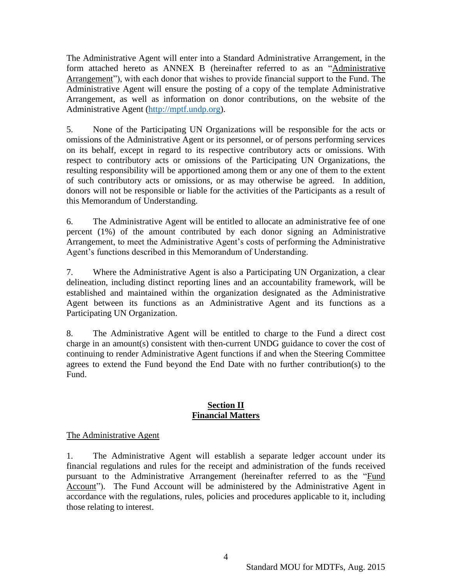The Administrative Agent will enter into a Standard Administrative Arrangement, in the form attached hereto as ANNEX B (hereinafter referred to as an "Administrative Arrangement"), with each donor that wishes to provide financial support to the Fund. The Administrative Agent will ensure the posting of a copy of the template Administrative Arrangement, as well as information on donor contributions, on the website of the Administrative Agent [\(http://mptf.undp.org\)](http://mptf.undp.org/).

5. None of the Participating UN Organizations will be responsible for the acts or omissions of the Administrative Agent or its personnel, or of persons performing services on its behalf, except in regard to its respective contributory acts or omissions. With respect to contributory acts or omissions of the Participating UN Organizations, the resulting responsibility will be apportioned among them or any one of them to the extent of such contributory acts or omissions, or as may otherwise be agreed. In addition, donors will not be responsible or liable for the activities of the Participants as a result of this Memorandum of Understanding.

6. The Administrative Agent will be entitled to allocate an administrative fee of one percent (1%) of the amount contributed by each donor signing an Administrative Arrangement, to meet the Administrative Agent's costs of performing the Administrative Agent's functions described in this Memorandum of Understanding.

7. Where the Administrative Agent is also a Participating UN Organization, a clear delineation, including distinct reporting lines and an accountability framework, will be established and maintained within the organization designated as the Administrative Agent between its functions as an Administrative Agent and its functions as a Participating UN Organization.

8. The Administrative Agent will be entitled to charge to the Fund a direct cost charge in an amount(s) consistent with then-current UNDG guidance to cover the cost of continuing to render Administrative Agent functions if and when the Steering Committee agrees to extend the Fund beyond the End Date with no further contribution(s) to the Fund.

#### **Section II Financial Matters**

## The Administrative Agent

1. The Administrative Agent will establish a separate ledger account under its financial regulations and rules for the receipt and administration of the funds received pursuant to the Administrative Arrangement (hereinafter referred to as the "Fund Account"). The Fund Account will be administered by the Administrative Agent in accordance with the regulations, rules, policies and procedures applicable to it, including those relating to interest.

4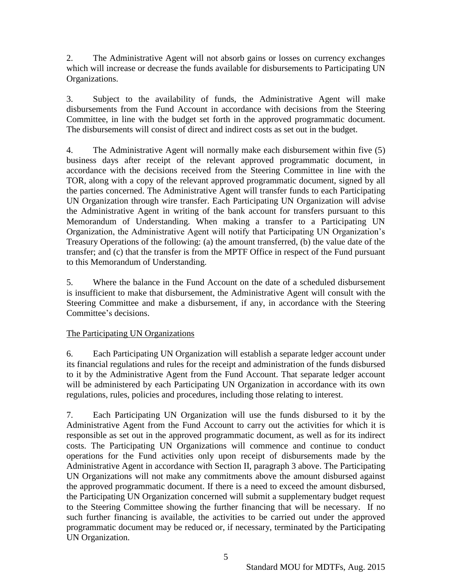2. The Administrative Agent will not absorb gains or losses on currency exchanges which will increase or decrease the funds available for disbursements to Participating UN Organizations.

3. Subject to the availability of funds, the Administrative Agent will make disbursements from the Fund Account in accordance with decisions from the Steering Committee, in line with the budget set forth in the approved programmatic document. The disbursements will consist of direct and indirect costs as set out in the budget.

4. The Administrative Agent will normally make each disbursement within five (5) business days after receipt of the relevant approved programmatic document, in accordance with the decisions received from the Steering Committee in line with the TOR, along with a copy of the relevant approved programmatic document, signed by all the parties concerned. The Administrative Agent will transfer funds to each Participating UN Organization through wire transfer. Each Participating UN Organization will advise the Administrative Agent in writing of the bank account for transfers pursuant to this Memorandum of Understanding. When making a transfer to a Participating UN Organization, the Administrative Agent will notify that Participating UN Organization's Treasury Operations of the following: (a) the amount transferred, (b) the value date of the transfer; and (c) that the transfer is from the MPTF Office in respect of the Fund pursuant to this Memorandum of Understanding.

5. Where the balance in the Fund Account on the date of a scheduled disbursement is insufficient to make that disbursement, the Administrative Agent will consult with the Steering Committee and make a disbursement, if any, in accordance with the Steering Committee's decisions.

## The Participating UN Organizations

6. Each Participating UN Organization will establish a separate ledger account under its financial regulations and rules for the receipt and administration of the funds disbursed to it by the Administrative Agent from the Fund Account. That separate ledger account will be administered by each Participating UN Organization in accordance with its own regulations, rules, policies and procedures, including those relating to interest.

7. Each Participating UN Organization will use the funds disbursed to it by the Administrative Agent from the Fund Account to carry out the activities for which it is responsible as set out in the approved programmatic document, as well as for its indirect costs. The Participating UN Organizations will commence and continue to conduct operations for the Fund activities only upon receipt of disbursements made by the Administrative Agent in accordance with Section II, paragraph 3 above. The Participating UN Organizations will not make any commitments above the amount disbursed against the approved programmatic document. If there is a need to exceed the amount disbursed, the Participating UN Organization concerned will submit a supplementary budget request to the Steering Committee showing the further financing that will be necessary. If no such further financing is available, the activities to be carried out under the approved programmatic document may be reduced or, if necessary, terminated by the Participating UN Organization.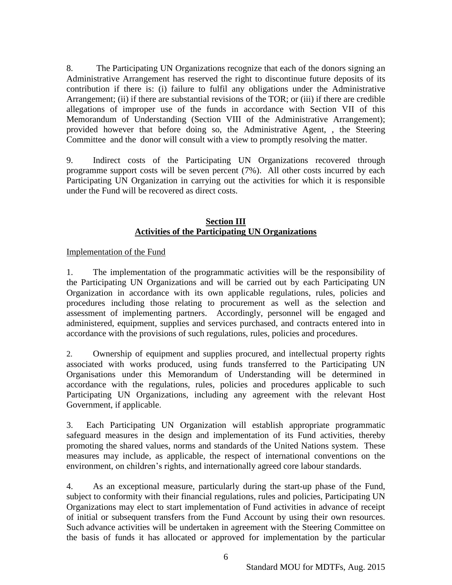8. The Participating UN Organizations recognize that each of the donors signing an Administrative Arrangement has reserved the right to discontinue future deposits of its contribution if there is: (i) failure to fulfil any obligations under the Administrative Arrangement; (ii) if there are substantial revisions of the TOR; or (iii) if there are credible allegations of improper use of the funds in accordance with Section VII of this Memorandum of Understanding (Section VIII of the Administrative Arrangement); provided however that before doing so, the Administrative Agent, , the Steering Committee and the donor will consult with a view to promptly resolving the matter.

9. Indirect costs of the Participating UN Organizations recovered through programme support costs will be seven percent (7%). All other costs incurred by each Participating UN Organization in carrying out the activities for which it is responsible under the Fund will be recovered as direct costs.

#### **Section III Activities of the Participating UN Organizations**

## Implementation of the Fund

1. The implementation of the programmatic activities will be the responsibility of the Participating UN Organizations and will be carried out by each Participating UN Organization in accordance with its own applicable regulations, rules, policies and procedures including those relating to procurement as well as the selection and assessment of implementing partners. Accordingly, personnel will be engaged and administered, equipment, supplies and services purchased, and contracts entered into in accordance with the provisions of such regulations, rules, policies and procedures.

2. Ownership of equipment and supplies procured, and intellectual property rights associated with works produced, using funds transferred to the Participating UN Organisations under this Memorandum of Understanding will be determined in accordance with the regulations, rules, policies and procedures applicable to such Participating UN Organizations, including any agreement with the relevant Host Government, if applicable.

3. Each Participating UN Organization will establish appropriate programmatic safeguard measures in the design and implementation of its Fund activities, thereby promoting the shared values, norms and standards of the United Nations system. These measures may include, as applicable, the respect of international conventions on the environment, on children's rights, and internationally agreed core labour standards.

4. As an exceptional measure, particularly during the start-up phase of the Fund, subject to conformity with their financial regulations, rules and policies, Participating UN Organizations may elect to start implementation of Fund activities in advance of receipt of initial or subsequent transfers from the Fund Account by using their own resources. Such advance activities will be undertaken in agreement with the Steering Committee on the basis of funds it has allocated or approved for implementation by the particular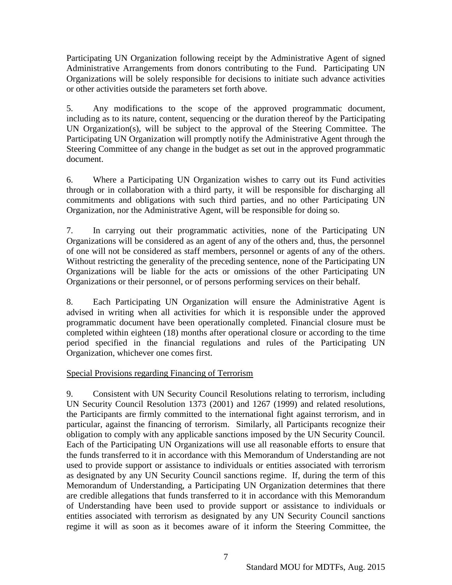Participating UN Organization following receipt by the Administrative Agent of signed Administrative Arrangements from donors contributing to the Fund. Participating UN Organizations will be solely responsible for decisions to initiate such advance activities or other activities outside the parameters set forth above.

5. Any modifications to the scope of the approved programmatic document, including as to its nature, content, sequencing or the duration thereof by the Participating UN Organization(s), will be subject to the approval of the Steering Committee. The Participating UN Organization will promptly notify the Administrative Agent through the Steering Committee of any change in the budget as set out in the approved programmatic document.

6. Where a Participating UN Organization wishes to carry out its Fund activities through or in collaboration with a third party, it will be responsible for discharging all commitments and obligations with such third parties, and no other Participating UN Organization, nor the Administrative Agent, will be responsible for doing so.

7. In carrying out their programmatic activities, none of the Participating UN Organizations will be considered as an agent of any of the others and, thus, the personnel of one will not be considered as staff members, personnel or agents of any of the others. Without restricting the generality of the preceding sentence, none of the Participating UN Organizations will be liable for the acts or omissions of the other Participating UN Organizations or their personnel, or of persons performing services on their behalf.

8. Each Participating UN Organization will ensure the Administrative Agent is advised in writing when all activities for which it is responsible under the approved programmatic document have been operationally completed. Financial closure must be completed within eighteen (18) months after operational closure or according to the time period specified in the financial regulations and rules of the Participating UN Organization, whichever one comes first.

## Special Provisions regarding Financing of Terrorism

9. Consistent with UN Security Council Resolutions relating to terrorism, including UN Security Council Resolution 1373 (2001) and 1267 (1999) and related resolutions, the Participants are firmly committed to the international fight against terrorism, and in particular, against the financing of terrorism. Similarly, all Participants recognize their obligation to comply with any applicable sanctions imposed by the UN Security Council. Each of the Participating UN Organizations will use all reasonable efforts to ensure that the funds transferred to it in accordance with this Memorandum of Understanding are not used to provide support or assistance to individuals or entities associated with terrorism as designated by any UN Security Council sanctions regime. If, during the term of this Memorandum of Understanding, a Participating UN Organization determines that there are credible allegations that funds transferred to it in accordance with this Memorandum of Understanding have been used to provide support or assistance to individuals or entities associated with terrorism as designated by any UN Security Council sanctions regime it will as soon as it becomes aware of it inform the Steering Committee, the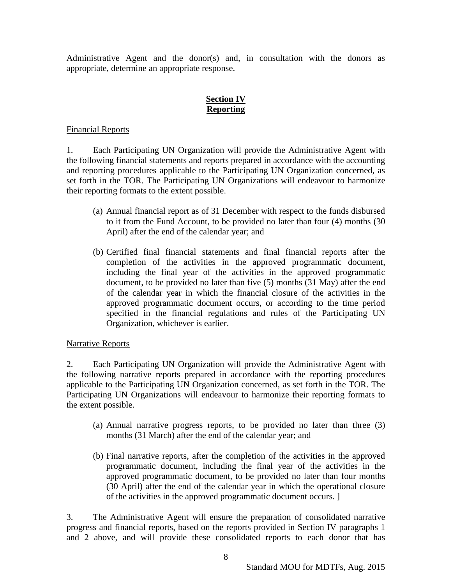Administrative Agent and the donor(s) and, in consultation with the donors as appropriate, determine an appropriate response.

## **Section IV Reporting**

#### Financial Reports

1. Each Participating UN Organization will provide the Administrative Agent with the following financial statements and reports prepared in accordance with the accounting and reporting procedures applicable to the Participating UN Organization concerned, as set forth in the TOR. The Participating UN Organizations will endeavour to harmonize their reporting formats to the extent possible.

- (a) Annual financial report as of 31 December with respect to the funds disbursed to it from the Fund Account, to be provided no later than four (4) months (30 April) after the end of the calendar year; and
- (b) Certified final financial statements and final financial reports after the completion of the activities in the approved programmatic document, including the final year of the activities in the approved programmatic document, to be provided no later than five (5) months (31 May) after the end of the calendar year in which the financial closure of the activities in the approved programmatic document occurs, or according to the time period specified in the financial regulations and rules of the Participating UN Organization, whichever is earlier.

#### Narrative Reports

2. Each Participating UN Organization will provide the Administrative Agent with the following narrative reports prepared in accordance with the reporting procedures applicable to the Participating UN Organization concerned, as set forth in the TOR. The Participating UN Organizations will endeavour to harmonize their reporting formats to the extent possible.

- (a) Annual narrative progress reports, to be provided no later than three (3) months (31 March) after the end of the calendar year; and
- (b) Final narrative reports, after the completion of the activities in the approved programmatic document, including the final year of the activities in the approved programmatic document, to be provided no later than four months (30 April) after the end of the calendar year in which the operational closure of the activities in the approved programmatic document occurs. ]

3. The Administrative Agent will ensure the preparation of consolidated narrative progress and financial reports, based on the reports provided in Section IV paragraphs 1 and 2 above, and will provide these consolidated reports to each donor that has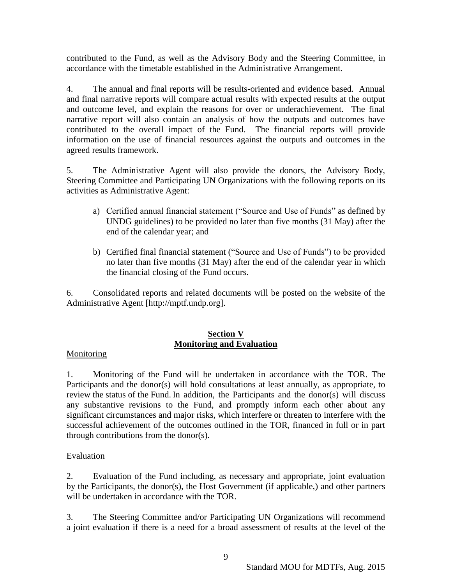contributed to the Fund, as well as the Advisory Body and the Steering Committee, in accordance with the timetable established in the Administrative Arrangement.

4. The annual and final reports will be results-oriented and evidence based. Annual and final narrative reports will compare actual results with expected results at the output and outcome level, and explain the reasons for over or underachievement. The final narrative report will also contain an analysis of how the outputs and outcomes have contributed to the overall impact of the Fund. The financial reports will provide information on the use of financial resources against the outputs and outcomes in the agreed results framework.

5. The Administrative Agent will also provide the donors, the Advisory Body, Steering Committee and Participating UN Organizations with the following reports on its activities as Administrative Agent:

- a) Certified annual financial statement ("Source and Use of Funds" as defined by UNDG guidelines) to be provided no later than five months (31 May) after the end of the calendar year; and
- b) Certified final financial statement ("Source and Use of Funds") to be provided no later than five months (31 May) after the end of the calendar year in which the financial closing of the Fund occurs.

6. Consolidated reports and related documents will be posted on the website of the Administrative Agent [http://mptf.undp.org].

## **Section V Monitoring and Evaluation**

## **Monitoring**

1. Monitoring of the Fund will be undertaken in accordance with the TOR. The Participants and the donor(s) will hold consultations at least annually, as appropriate, to review the status of the Fund. In addition, the Participants and the donor(s) will discuss any substantive revisions to the Fund, and promptly inform each other about any significant circumstances and major risks, which interfere or threaten to interfere with the successful achievement of the outcomes outlined in the TOR, financed in full or in part through contributions from the donor(s).

#### Evaluation

2. Evaluation of the Fund including, as necessary and appropriate, joint evaluation by the Participants, the donor(s), the Host Government (if applicable,) and other partners will be undertaken in accordance with the TOR.

3. The Steering Committee and/or Participating UN Organizations will recommend a joint evaluation if there is a need for a broad assessment of results at the level of the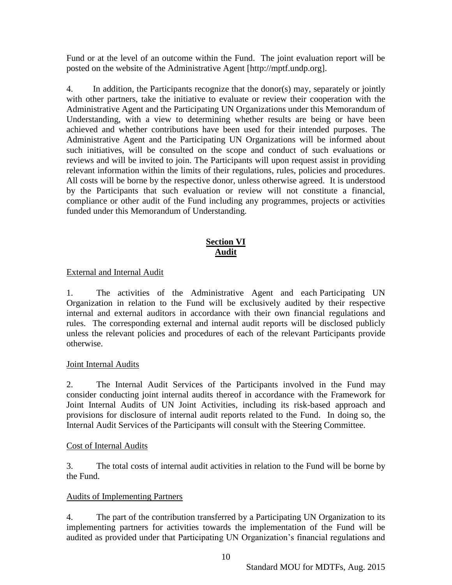Fund or at the level of an outcome within the Fund. The joint evaluation report will be posted on the website of the Administrative Agent [http://mptf.undp.org].

4. In addition, the Participants recognize that the donor(s) may, separately or jointly with other partners, take the initiative to evaluate or review their cooperation with the Administrative Agent and the Participating UN Organizations under this Memorandum of Understanding, with a view to determining whether results are being or have been achieved and whether contributions have been used for their intended purposes. The Administrative Agent and the Participating UN Organizations will be informed about such initiatives, will be consulted on the scope and conduct of such evaluations or reviews and will be invited to join. The Participants will upon request assist in providing relevant information within the limits of their regulations, rules, policies and procedures. All costs will be borne by the respective donor, unless otherwise agreed. It is understood by the Participants that such evaluation or review will not constitute a financial, compliance or other audit of the Fund including any programmes, projects or activities funded under this Memorandum of Understanding.

## **Section VI Audit**

## External and Internal Audit

1. The activities of the Administrative Agent and each Participating UN Organization in relation to the Fund will be exclusively audited by their respective internal and external auditors in accordance with their own financial regulations and rules. The corresponding external and internal audit reports will be disclosed publicly unless the relevant policies and procedures of each of the relevant Participants provide otherwise.

## Joint Internal Audits

2. The Internal Audit Services of the Participants involved in the Fund may consider conducting joint internal audits thereof in accordance with the Framework for Joint Internal Audits of UN Joint Activities, including its risk-based approach and provisions for disclosure of internal audit reports related to the Fund. In doing so, the Internal Audit Services of the Participants will consult with the Steering Committee.

## Cost of Internal Audits

3. The total costs of internal audit activities in relation to the Fund will be borne by the Fund.

## Audits of Implementing Partners

4. The part of the contribution transferred by a Participating UN Organization to its implementing partners for activities towards the implementation of the Fund will be audited as provided under that Participating UN Organization's financial regulations and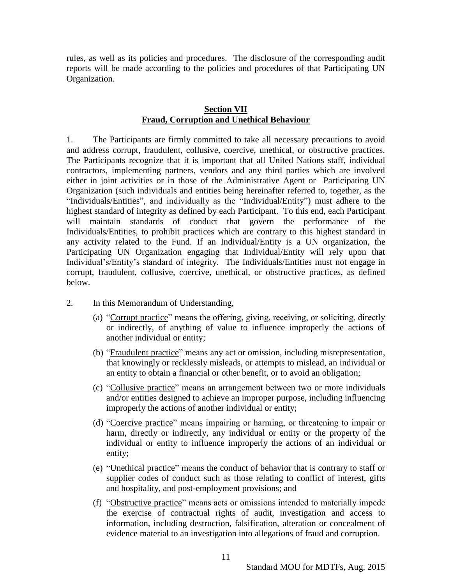rules, as well as its policies and procedures. The disclosure of the corresponding audit reports will be made according to the policies and procedures of that Participating UN Organization.

#### **Section VII Fraud, Corruption and Unethical Behaviour**

1. The Participants are firmly committed to take all necessary precautions to avoid and address corrupt, fraudulent, collusive, coercive, unethical, or obstructive practices. The Participants recognize that it is important that all United Nations staff, individual contractors, implementing partners, vendors and any third parties which are involved either in joint activities or in those of the Administrative Agent or Participating UN Organization (such individuals and entities being hereinafter referred to, together, as the "Individuals/Entities", and individually as the "Individual/Entity") must adhere to the highest standard of integrity as defined by each Participant. To this end, each Participant will maintain standards of conduct that govern the performance of the Individuals/Entities, to prohibit practices which are contrary to this highest standard in any activity related to the Fund. If an Individual/Entity is a UN organization, the Participating UN Organization engaging that Individual/Entity will rely upon that Individual's/Entity's standard of integrity. The Individuals/Entities must not engage in corrupt, fraudulent, collusive, coercive, unethical, or obstructive practices, as defined below.

- 2. In this Memorandum of Understanding,
	- (a) "Corrupt practice" means the offering, giving, receiving, or soliciting, directly or indirectly, of anything of value to influence improperly the actions of another individual or entity;
	- (b) "Fraudulent practice" means any act or omission, including misrepresentation, that knowingly or recklessly misleads, or attempts to mislead, an individual or an entity to obtain a financial or other benefit, or to avoid an obligation;
	- (c) "Collusive practice" means an arrangement between two or more individuals and/or entities designed to achieve an improper purpose, including influencing improperly the actions of another individual or entity;
	- (d) "Coercive practice" means impairing or harming, or threatening to impair or harm, directly or indirectly, any individual or entity or the property of the individual or entity to influence improperly the actions of an individual or entity;
	- (e) "Unethical practice" means the conduct of behavior that is contrary to staff or supplier codes of conduct such as those relating to conflict of interest, gifts and hospitality, and post-employment provisions; and
	- (f) "Obstructive practice" means acts or omissions intended to materially impede the exercise of contractual rights of audit, investigation and access to information, including destruction, falsification, alteration or concealment of evidence material to an investigation into allegations of fraud and corruption.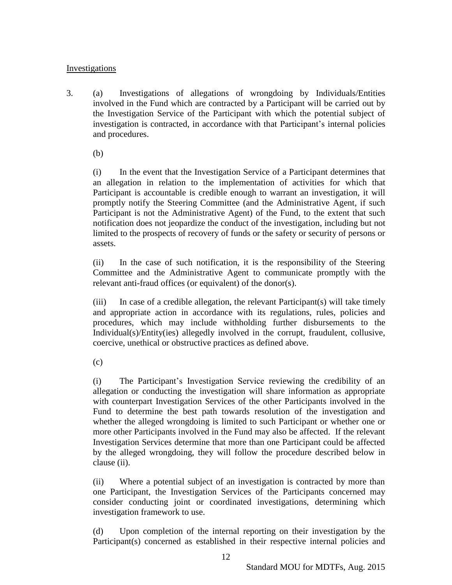## **Investigations**

3. (a) Investigations of allegations of wrongdoing by Individuals/Entities involved in the Fund which are contracted by a Participant will be carried out by the Investigation Service of the Participant with which the potential subject of investigation is contracted, in accordance with that Participant's internal policies and procedures.

(b)

(i) In the event that the Investigation Service of a Participant determines that an allegation in relation to the implementation of activities for which that Participant is accountable is credible enough to warrant an investigation, it will promptly notify the Steering Committee (and the Administrative Agent, if such Participant is not the Administrative Agent) of the Fund, to the extent that such notification does not jeopardize the conduct of the investigation, including but not limited to the prospects of recovery of funds or the safety or security of persons or assets.

(ii) In the case of such notification, it is the responsibility of the Steering Committee and the Administrative Agent to communicate promptly with the relevant anti-fraud offices (or equivalent) of the donor(s).

(iii) In case of a credible allegation, the relevant Participant(s) will take timely and appropriate action in accordance with its regulations, rules, policies and procedures, which may include withholding further disbursements to the Individual(s)/Entity(ies) allegedly involved in the corrupt, fraudulent, collusive, coercive, unethical or obstructive practices as defined above.

(c)

(i) The Participant's Investigation Service reviewing the credibility of an allegation or conducting the investigation will share information as appropriate with counterpart Investigation Services of the other Participants involved in the Fund to determine the best path towards resolution of the investigation and whether the alleged wrongdoing is limited to such Participant or whether one or more other Participants involved in the Fund may also be affected. If the relevant Investigation Services determine that more than one Participant could be affected by the alleged wrongdoing, they will follow the procedure described below in clause (ii).

(ii) Where a potential subject of an investigation is contracted by more than one Participant, the Investigation Services of the Participants concerned may consider conducting joint or coordinated investigations, determining which investigation framework to use.

(d) Upon completion of the internal reporting on their investigation by the Participant(s) concerned as established in their respective internal policies and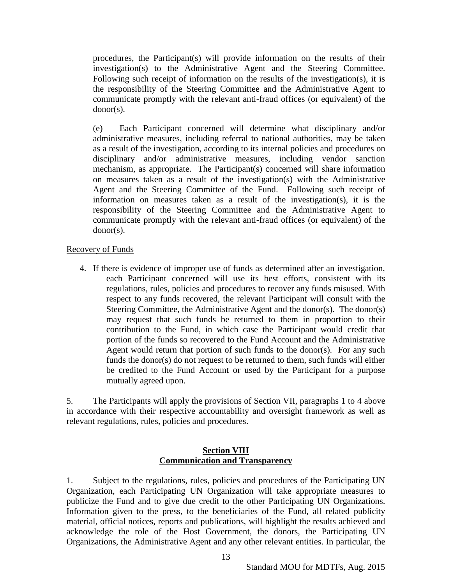procedures, the Participant(s) will provide information on the results of their investigation(s) to the Administrative Agent and the Steering Committee. Following such receipt of information on the results of the investigation(s), it is the responsibility of the Steering Committee and the Administrative Agent to communicate promptly with the relevant anti-fraud offices (or equivalent) of the donor(s).

(e) Each Participant concerned will determine what disciplinary and/or administrative measures, including referral to national authorities, may be taken as a result of the investigation, according to its internal policies and procedures on disciplinary and/or administrative measures, including vendor sanction mechanism, as appropriate. The Participant(s) concerned will share information on measures taken as a result of the investigation(s) with the Administrative Agent and the Steering Committee of the Fund. Following such receipt of information on measures taken as a result of the investigation(s), it is the responsibility of the Steering Committee and the Administrative Agent to communicate promptly with the relevant anti-fraud offices (or equivalent) of the donor(s).

#### Recovery of Funds

4. If there is evidence of improper use of funds as determined after an investigation, each Participant concerned will use its best efforts, consistent with its regulations, rules, policies and procedures to recover any funds misused. With respect to any funds recovered, the relevant Participant will consult with the Steering Committee, the Administrative Agent and the donor(s). The donor(s) may request that such funds be returned to them in proportion to their contribution to the Fund, in which case the Participant would credit that portion of the funds so recovered to the Fund Account and the Administrative Agent would return that portion of such funds to the donor(s). For any such funds the donor(s) do not request to be returned to them, such funds will either be credited to the Fund Account or used by the Participant for a purpose mutually agreed upon.

5. The Participants will apply the provisions of Section VII, paragraphs 1 to 4 above in accordance with their respective accountability and oversight framework as well as relevant regulations, rules, policies and procedures.

#### **Section VIII Communication and Transparency**

1. Subject to the regulations, rules, policies and procedures of the Participating UN Organization, each Participating UN Organization will take appropriate measures to publicize the Fund and to give due credit to the other Participating UN Organizations. Information given to the press, to the beneficiaries of the Fund, all related publicity material, official notices, reports and publications, will highlight the results achieved and acknowledge the role of the Host Government, the donors, the Participating UN Organizations, the Administrative Agent and any other relevant entities. In particular, the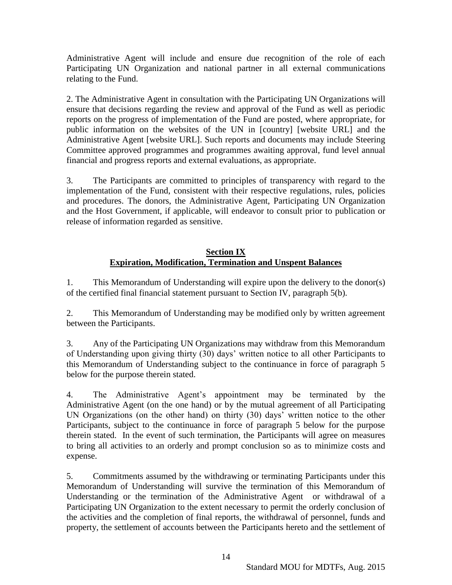Administrative Agent will include and ensure due recognition of the role of each Participating UN Organization and national partner in all external communications relating to the Fund.

2. The Administrative Agent in consultation with the Participating UN Organizations will ensure that decisions regarding the review and approval of the Fund as well as periodic reports on the progress of implementation of the Fund are posted, where appropriate, for public information on the websites of the UN in [country] [website URL] and the Administrative Agent [website URL]. Such reports and documents may include Steering Committee approved programmes and programmes awaiting approval, fund level annual financial and progress reports and external evaluations, as appropriate.

3. The Participants are committed to principles of transparency with regard to the implementation of the Fund, consistent with their respective regulations, rules, policies and procedures. The donors, the Administrative Agent, Participating UN Organization and the Host Government, if applicable, will endeavor to consult prior to publication or release of information regarded as sensitive.

## **Section IX Expiration, Modification, Termination and Unspent Balances**

1. This Memorandum of Understanding will expire upon the delivery to the donor(s) of the certified final financial statement pursuant to Section IV, paragraph 5(b).

2. This Memorandum of Understanding may be modified only by written agreement between the Participants.

3. Any of the Participating UN Organizations may withdraw from this Memorandum of Understanding upon giving thirty (30) days' written notice to all other Participants to this Memorandum of Understanding subject to the continuance in force of paragraph 5 below for the purpose therein stated.

4. The Administrative Agent's appointment may be terminated by the Administrative Agent (on the one hand) or by the mutual agreement of all Participating UN Organizations (on the other hand) on thirty (30) days' written notice to the other Participants, subject to the continuance in force of paragraph 5 below for the purpose therein stated. In the event of such termination, the Participants will agree on measures to bring all activities to an orderly and prompt conclusion so as to minimize costs and expense.

5. Commitments assumed by the withdrawing or terminating Participants under this Memorandum of Understanding will survive the termination of this Memorandum of Understanding or the termination of the Administrative Agent or withdrawal of a Participating UN Organization to the extent necessary to permit the orderly conclusion of the activities and the completion of final reports, the withdrawal of personnel, funds and property, the settlement of accounts between the Participants hereto and the settlement of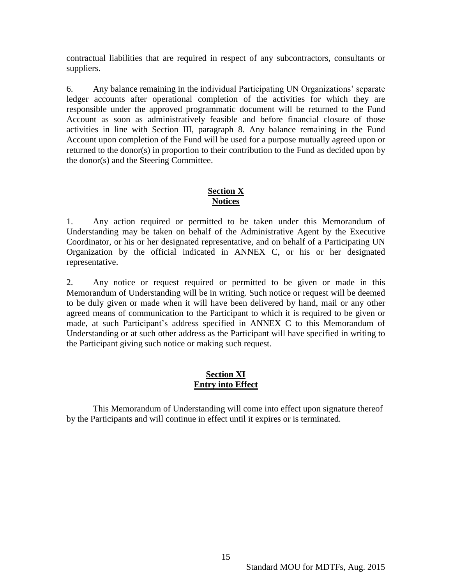contractual liabilities that are required in respect of any subcontractors, consultants or suppliers.

6. Any balance remaining in the individual Participating UN Organizations' separate ledger accounts after operational completion of the activities for which they are responsible under the approved programmatic document will be returned to the Fund Account as soon as administratively feasible and before financial closure of those activities in line with Section III, paragraph 8. Any balance remaining in the Fund Account upon completion of the Fund will be used for a purpose mutually agreed upon or returned to the donor(s) in proportion to their contribution to the Fund as decided upon by the donor(s) and the Steering Committee.

#### **Section X Notices**

1. Any action required or permitted to be taken under this Memorandum of Understanding may be taken on behalf of the Administrative Agent by the Executive Coordinator, or his or her designated representative, and on behalf of a Participating UN Organization by the official indicated in ANNEX C, or his or her designated representative.

2. Any notice or request required or permitted to be given or made in this Memorandum of Understanding will be in writing. Such notice or request will be deemed to be duly given or made when it will have been delivered by hand, mail or any other agreed means of communication to the Participant to which it is required to be given or made, at such Participant's address specified in ANNEX C to this Memorandum of Understanding or at such other address as the Participant will have specified in writing to the Participant giving such notice or making such request.

## **Section XI Entry into Effect**

This Memorandum of Understanding will come into effect upon signature thereof by the Participants and will continue in effect until it expires or is terminated.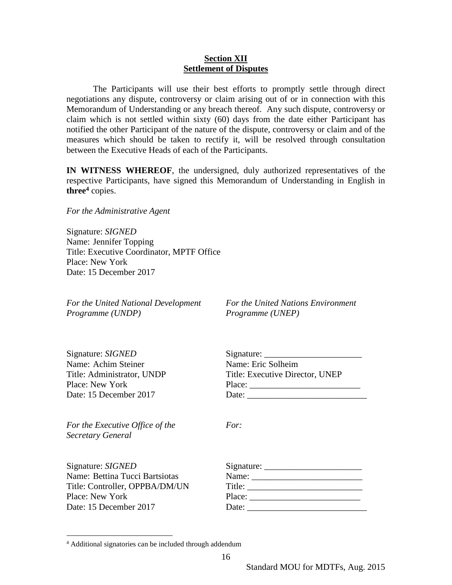#### **Section XII Settlement of Disputes**

The Participants will use their best efforts to promptly settle through direct negotiations any dispute, controversy or claim arising out of or in connection with this Memorandum of Understanding or any breach thereof. Any such dispute, controversy or claim which is not settled within sixty (60) days from the date either Participant has notified the other Participant of the nature of the dispute, controversy or claim and of the measures which should be taken to rectify it, will be resolved through consultation between the Executive Heads of each of the Participants.

**IN WITNESS WHEREOF**, the undersigned, duly authorized representatives of the respective Participants, have signed this Memorandum of Understanding in English in **three<sup>4</sup>** copies.

*For the Administrative Agent*

Signature: *SIGNED*  Name: Jennifer Topping Title: Executive Coordinator, MPTF Office Place: New York Date: 15 December 2017

*For the United National Development For the United Nations Environment Programme (UNDP) Programme (UNEP)*

| Signature: SIGNED          | Signature: $\_\_$               |
|----------------------------|---------------------------------|
| Name: Achim Steiner        | Name: Eric Solheim              |
| Title: Administrator, UNDP | Title: Executive Director, UNEP |
| Place: New York            | Place:                          |
| Date: 15 December 2017     | Date:                           |
|                            |                                 |

*For the Executive Office of the For: Secretary General*

Signature: *SIGNED* Name: Bettina Tucci Bartsiotas Title: Controller, OPPBA/DM/UN Place: New York Date: 15 December 2017

 $\overline{a}$ 

|        | $Sigma =$                                                                                                                                                                                                                                                                                                                                                                                                                |  |
|--------|--------------------------------------------------------------------------------------------------------------------------------------------------------------------------------------------------------------------------------------------------------------------------------------------------------------------------------------------------------------------------------------------------------------------------|--|
|        | Name: $\frac{1}{\sqrt{1-\frac{1}{2}}}\frac{1}{\sqrt{1-\frac{1}{2}}}\frac{1}{\sqrt{1-\frac{1}{2}}}\frac{1}{\sqrt{1-\frac{1}{2}}}\frac{1}{\sqrt{1-\frac{1}{2}}}\frac{1}{\sqrt{1-\frac{1}{2}}}\frac{1}{\sqrt{1-\frac{1}{2}}}\frac{1}{\sqrt{1-\frac{1}{2}}}\frac{1}{\sqrt{1-\frac{1}{2}}}\frac{1}{\sqrt{1-\frac{1}{2}}}\frac{1}{\sqrt{1-\frac{1}{2}}}\frac{1}{\sqrt{1-\frac{1}{2}}}\frac{1}{\sqrt{1-\frac{1}{2}}}\frac{1}{\$ |  |
| Title: |                                                                                                                                                                                                                                                                                                                                                                                                                          |  |
| Place: |                                                                                                                                                                                                                                                                                                                                                                                                                          |  |
| Date:  |                                                                                                                                                                                                                                                                                                                                                                                                                          |  |

<sup>4</sup> Additional signatories can be included through addendum